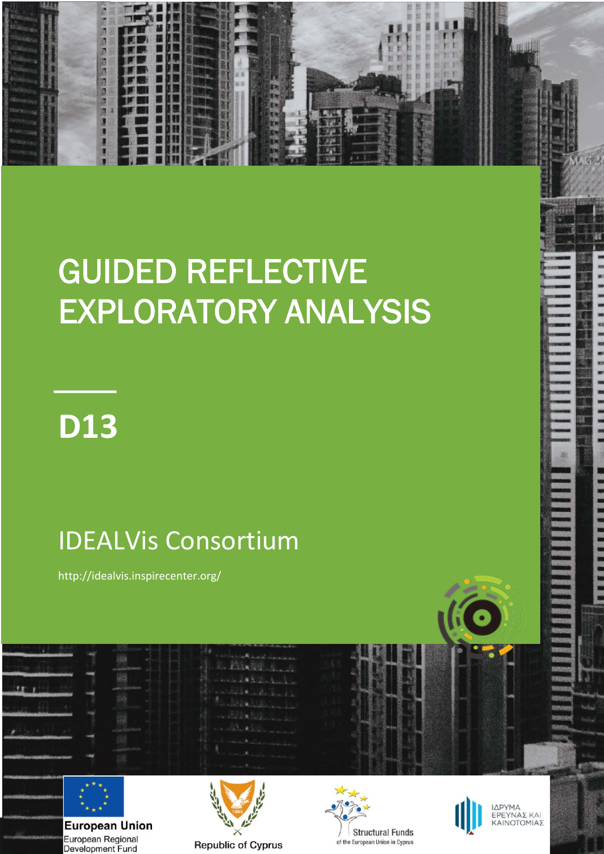# GUIDED REFLECTIVE EXPLORATORY ANALYSIS



**1**

不见地的名词复

### IDEALVis Consortium

http://idealvis.inspirecenter.org/



European Regional Development Fund





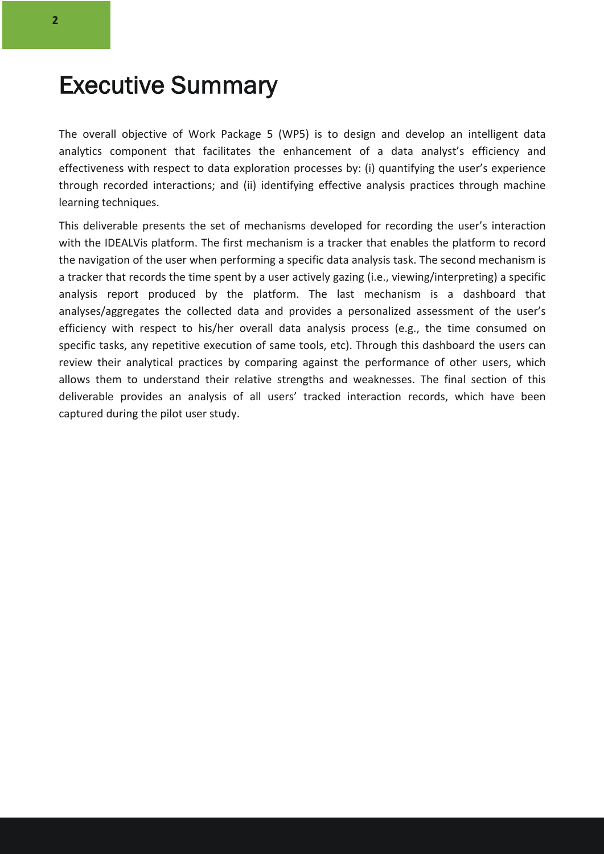### Executive Summary

The overall objective of Work Package 5 (WP5) is to design and develop an intelligent data analytics component that facilitates the enhancement of a data analyst's efficiency and effectiveness with respect to data exploration processes by: (i) quantifying the user's experience through recorded interactions; and (ii) identifying effective analysis practices through machine learning techniques.

This deliverable presents the set of mechanisms developed for recording the user's interaction with the IDEALVis platform. The first mechanism is a tracker that enables the platform to record the navigation of the user when performing a specific data analysis task. The second mechanism is a tracker that records the time spent by a user actively gazing (i.e., viewing/interpreting) a specific analysis report produced by the platform. The last mechanism is a dashboard that analyses/aggregates the collected data and provides a personalized assessment of the user's efficiency with respect to his/her overall data analysis process (e.g., the time consumed on specific tasks, any repetitive execution of same tools, etc). Through this dashboard the users can review their analytical practices by comparing against the performance of other users, which allows them to understand their relative strengths and weaknesses. The final section of this deliverable provides an analysis of all users' tracked interaction records, which have been captured during the pilot user study.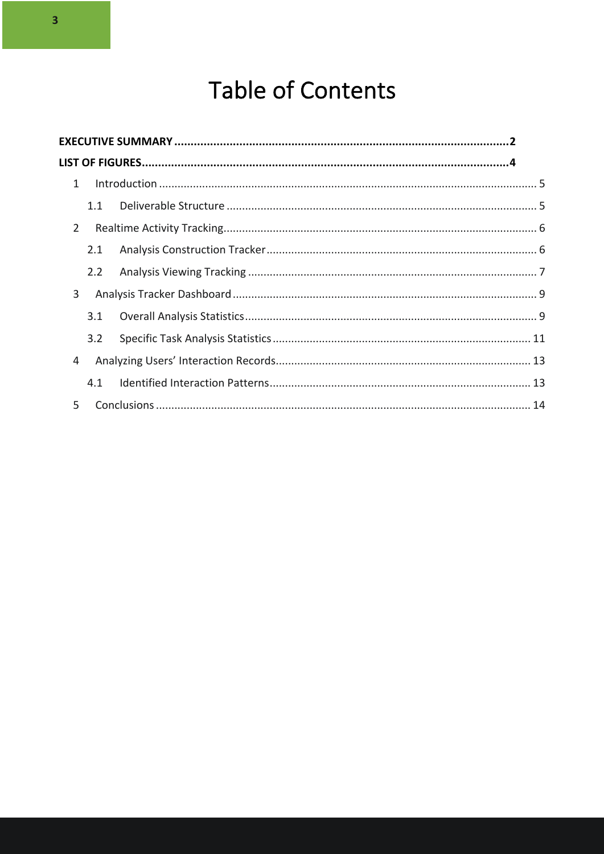### **Table of Contents**

| $\mathbf{1}$   |
|----------------|
| 1.1            |
| $\overline{2}$ |
| 2.1            |
| 2.2            |
| 3              |
| 3.1            |
| 3.2            |
| 4              |
| 4.1            |
| 5              |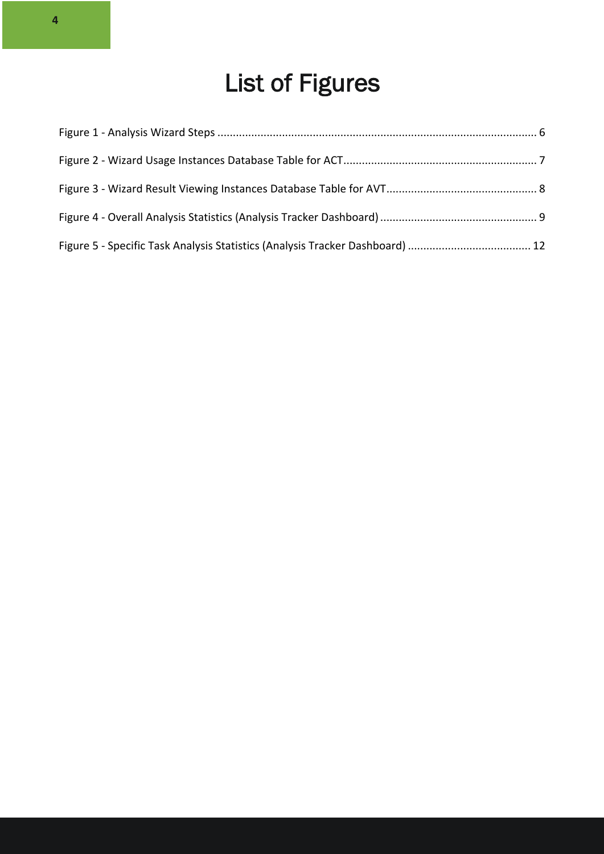## List of Figures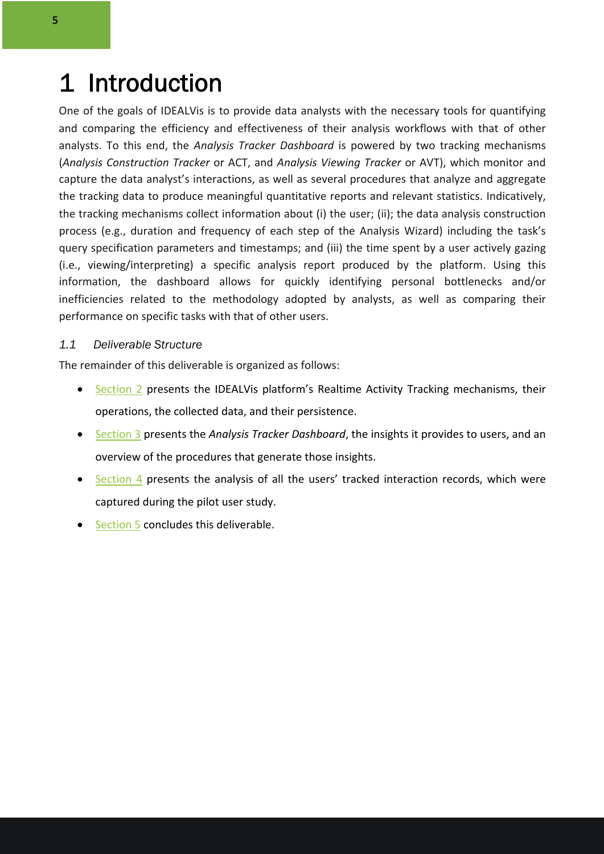### 1 Introduction

One of the goals of IDEALVis is to provide data analysts with the necessary tools for quantifying and comparing the efficiency and effectiveness of their analysis workflows with that of other analysts. To this end, the *Analysis Tracker Dashboard* is powered by two tracking mechanisms (*Analysis Construction Tracker* or ACT, and *Analysis Viewing Tracker* or AVT), which monitor and capture the data analyst's interactions, as well as several procedures that analyze and aggregate the tracking data to produce meaningful quantitative reports and relevant statistics. Indicatively, the tracking mechanisms collect information about (i) the user; (ii); the data analysis construction process (e.g., duration and frequency of each step of the Analysis Wizard) including the task's query specification parameters and timestamps; and (iii) the time spent by a user actively gazing (i.e., viewing/interpreting) a specific analysis report produced by the platform. Using this information, the dashboard allows for quickly identifying personal bottlenecks and/or inefficiencies related to the methodology adopted by analysts, as well as comparing their performance on specific tasks with that of other users.

#### *1.1 Deliverable Structure*

The remainder of this deliverable is organized as follows:

- Section 2 presents the IDEALVis platform's Realtime Activity Tracking mechanisms, their operations, the collected data, and their persistence.
- Section 3 presents the *Analysis Tracker Dashboard*, the insights it provides to users, and an overview of the procedures that generate those insights.
- Section 4 presents the analysis of all the users' tracked interaction records, which were captured during the pilot user study.
- Section 5 concludes this deliverable.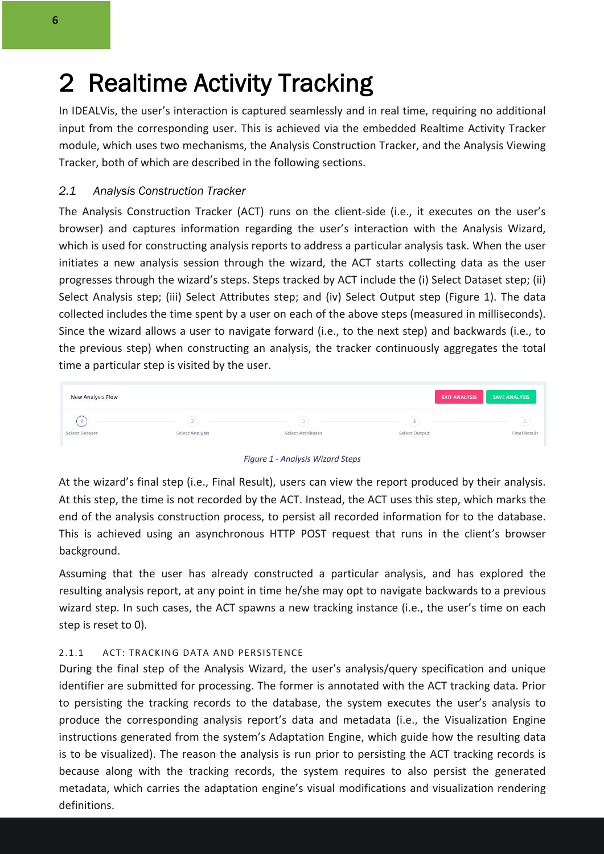### 2 Realtime Activity Tracking

In IDEALVis, the user's interaction is captured seamlessly and in real time, requiring no additional input from the corresponding user. This is achieved via the embedded Realtime Activity Tracker module, which uses two mechanisms, the Analysis Construction Tracker, and the Analysis Viewing Tracker, both of which are described in the following sections.

#### *2.1 Analysis Construction Tracker*

The Analysis Construction Tracker (ACT) runs on the client-side (i.e., it executes on the user's browser) and captures information regarding the user's interaction with the Analysis Wizard, which is used for constructing analysis reports to address a particular analysis task. When the user initiates a new analysis session through the wizard, the ACT starts collecting data as the user progresses through the wizard's steps. Steps tracked by ACT include the (i) Select Dataset step; (ii) Select Analysis step; (iii) Select Attributes step; and (iv) Select Output step (Figure 1). The data collected includes the time spent by a user on each of the above steps (measured in milliseconds). Since the wizard allows a user to navigate forward (i.e., to the next step) and backwards (i.e., to the previous step) when constructing an analysis, the tracker continuously aggregates the total time a particular step is visited by the user.

| <b>New Analysis Flow</b> |                        |                   | <b>EXIT ANALYSIS</b> | SAVE ANALYSIS       |
|--------------------------|------------------------|-------------------|----------------------|---------------------|
|                          |                        |                   |                      |                     |
| Select Dataset           | <b>Select Analysis</b> | Select Attributes | Select Output        | <b>Final Result</b> |



At the wizard's final step (i.e., Final Result), users can view the report produced by their analysis. At this step, the time is not recorded by the ACT. Instead, the ACT uses this step, which marks the end of the analysis construction process, to persist all recorded information for to the database. This is achieved using an asynchronous HTTP POST request that runs in the client's browser background.

Assuming that the user has already constructed a particular analysis, and has explored the resulting analysis report, at any point in time he/she may opt to navigate backwards to a previous wizard step. In such cases, the ACT spawns a new tracking instance (i.e., the user's time on each step is reset to 0).

#### 2.1.1 ACT: TRACKING DATA AND PERSISTENCE

During the final step of the Analysis Wizard, the user's analysis/query specification and unique identifier are submitted for processing. The former is annotated with the ACT tracking data. Prior to persisting the tracking records to the database, the system executes the user's analysis to produce the corresponding analysis report's data and metadata (i.e., the Visualization Engine instructions generated from the system's Adaptation Engine, which guide how the resulting data is to be visualized). The reason the analysis is run prior to persisting the ACT tracking records is because along with the tracking records, the system requires to also persist the generated metadata, which carries the adaptation engine's visual modifications and visualization rendering definitions.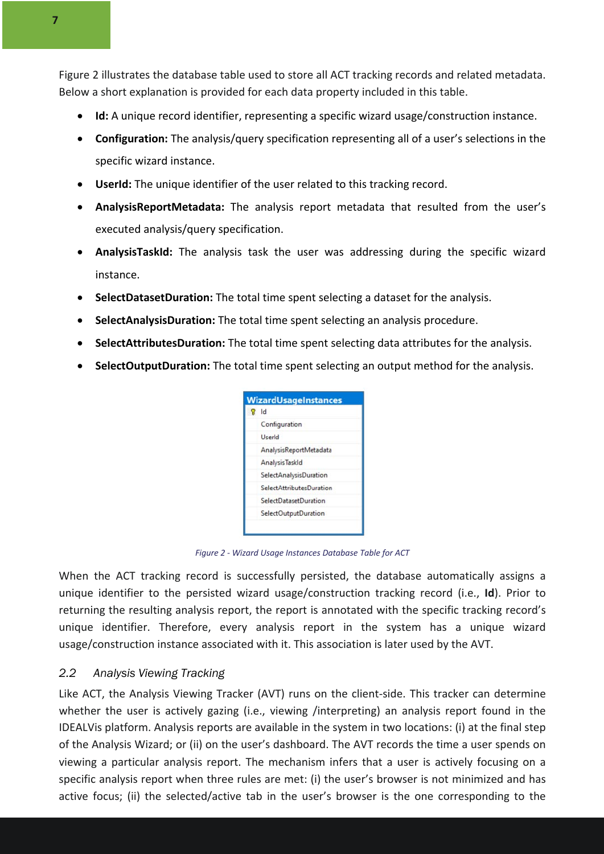Figure 2 illustrates the database table used to store all ACT tracking records and related metadata. Below a short explanation is provided for each data property included in this table.

- **Id:** A unique record identifier, representing a specific wizard usage/construction instance.
- **Configuration:** The analysis/query specification representing all of a user's selections in the specific wizard instance.
- **UserId:** The unique identifier of the user related to this tracking record.
- **AnalysisReportMetadata:** The analysis report metadata that resulted from the user's executed analysis/query specification.
- **AnalysisTaskId:** The analysis task the user was addressing during the specific wizard instance.
- **SelectDatasetDuration:** The total time spent selecting a dataset for the analysis.
- **SelectAnalysisDuration:** The total time spent selecting an analysis procedure.
- **SelectAttributesDuration:** The total time spent selecting data attributes for the analysis.
- **SelectOutputDuration:** The total time spent selecting an output method for the analysis.

| Id                           |
|------------------------------|
| Configuration                |
| UserId                       |
| AnalysisReportMetadata       |
| Analysis Taskld              |
| SelectAnalysisDuration       |
| SelectAttributesDuration     |
| <b>SelectDatasetDuration</b> |
| SelectOutputDuration         |

*Figure 2 - Wizard Usage Instances Database Table for ACT*

When the ACT tracking record is successfully persisted, the database automatically assigns a unique identifier to the persisted wizard usage/construction tracking record (i.e., **Id**). Prior to returning the resulting analysis report, the report is annotated with the specific tracking record's unique identifier. Therefore, every analysis report in the system has a unique wizard usage/construction instance associated with it. This association is later used by the AVT.

#### *2.2 Analysis Viewing Tracking*

Like ACT, the Analysis Viewing Tracker (AVT) runs on the client-side. This tracker can determine whether the user is actively gazing (i.e., viewing /interpreting) an analysis report found in the IDEALVis platform. Analysis reports are available in the system in two locations: (i) at the final step of the Analysis Wizard; or (ii) on the user's dashboard. The AVT records the time a user spends on viewing a particular analysis report. The mechanism infers that a user is actively focusing on a specific analysis report when three rules are met: (i) the user's browser is not minimized and has active focus; (ii) the selected/active tab in the user's browser is the one corresponding to the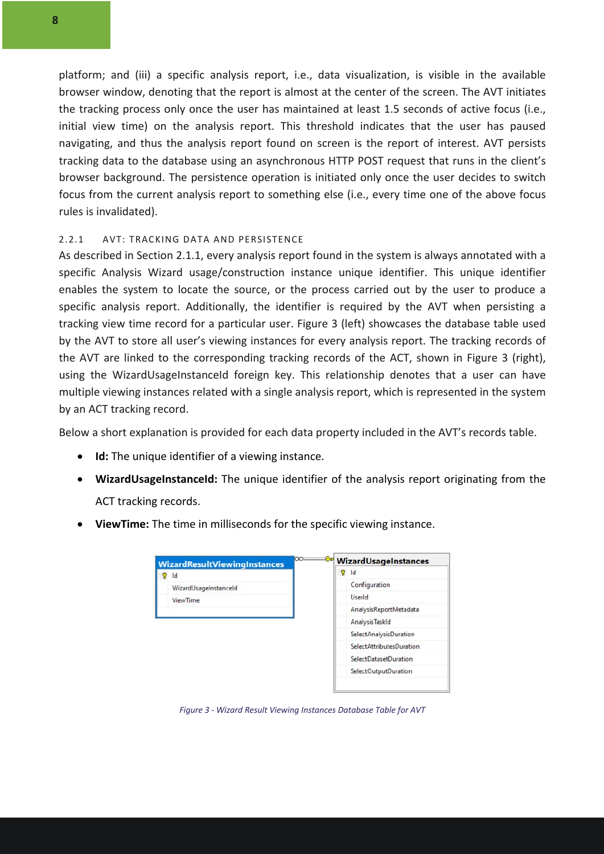platform; and (iii) a specific analysis report, i.e., data visualization, is visible in the available browser window, denoting that the report is almost at the center of the screen. The AVT initiates the tracking process only once the user has maintained at least 1.5 seconds of active focus (i.e., initial view time) on the analysis report. This threshold indicates that the user has paused navigating, and thus the analysis report found on screen is the report of interest. AVT persists tracking data to the database using an asynchronous HTTP POST request that runs in the client's browser background. The persistence operation is initiated only once the user decides to switch focus from the current analysis report to something else (i.e., every time one of the above focus rules is invalidated).

#### 2.2.1 AVT: TRACKING DATA AND PERSISTENCE

As described in Section 2.1.1, every analysis report found in the system is always annotated with a specific Analysis Wizard usage/construction instance unique identifier. This unique identifier enables the system to locate the source, or the process carried out by the user to produce a specific analysis report. Additionally, the identifier is required by the AVT when persisting a tracking view time record for a particular user. Figure 3 (left) showcases the database table used by the AVT to store all user's viewing instances for every analysis report. The tracking records of the AVT are linked to the corresponding tracking records of the ACT, shown in Figure 3 (right), using the WizardUsageInstanceId foreign key. This relationship denotes that a user can have multiple viewing instances related with a single analysis report, which is represented in the system by an ACT tracking record.

Below a short explanation is provided for each data property included in the AVT's records table.

- **Id:** The unique identifier of a viewing instance.
- **WizardUsageInstanceId:** The unique identifier of the analysis report originating from the ACT tracking records.
- **ViewTime:** The time in milliseconds for the specific viewing instance.

|  | <b>WizardResultViewingInstances</b> | $\infty$ |   | WizardUsageInstances     |
|--|-------------------------------------|----------|---|--------------------------|
|  | Id                                  |          | Ϋ | Id                       |
|  | WizardUsageInstanceId               |          |   | Configuration            |
|  | <b>ViewTime</b>                     |          |   | UserId                   |
|  |                                     |          |   | AnalysisReportMetadata   |
|  |                                     |          |   | Analysis Taskld          |
|  |                                     |          |   | SelectAnalysisDuration   |
|  |                                     |          |   | SelectAttributesDuration |
|  |                                     |          |   | SelectDatasetDuration    |
|  |                                     |          |   | SelectOutputDuration     |

*Figure 3 - Wizard Result Viewing Instances Database Table for AVT*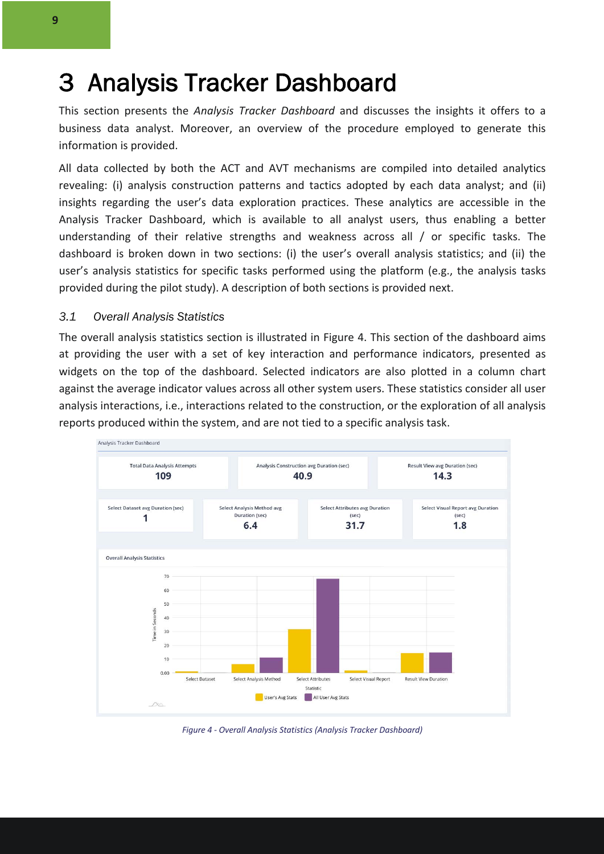### 3 Analysis Tracker Dashboard

This section presents the *Analysis Tracker Dashboard* and discusses the insights it offers to a business data analyst. Moreover, an overview of the procedure employed to generate this information is provided.

All data collected by both the ACT and AVT mechanisms are compiled into detailed analytics revealing: (i) analysis construction patterns and tactics adopted by each data analyst; and (ii) insights regarding the user's data exploration practices. These analytics are accessible in the Analysis Tracker Dashboard, which is available to all analyst users, thus enabling a better understanding of their relative strengths and weakness across all / or specific tasks. The dashboard is broken down in two sections: (i) the user's overall analysis statistics; and (ii) the user's analysis statistics for specific tasks performed using the platform (e.g., the analysis tasks provided during the pilot study). A description of both sections is provided next.

#### *3.1 Overall Analysis Statistics*

The overall analysis statistics section is illustrated in Figure 4. This section of the dashboard aims at providing the user with a set of key interaction and performance indicators, presented as widgets on the top of the dashboard. Selected indicators are also plotted in a column chart against the average indicator values across all other system users. These statistics consider all user analysis interactions, i.e., interactions related to the construction, or the exploration of all analysis reports produced within the system, and are not tied to a specific analysis task.



*Figure 4 - Overall Analysis Statistics (Analysis Tracker Dashboard)*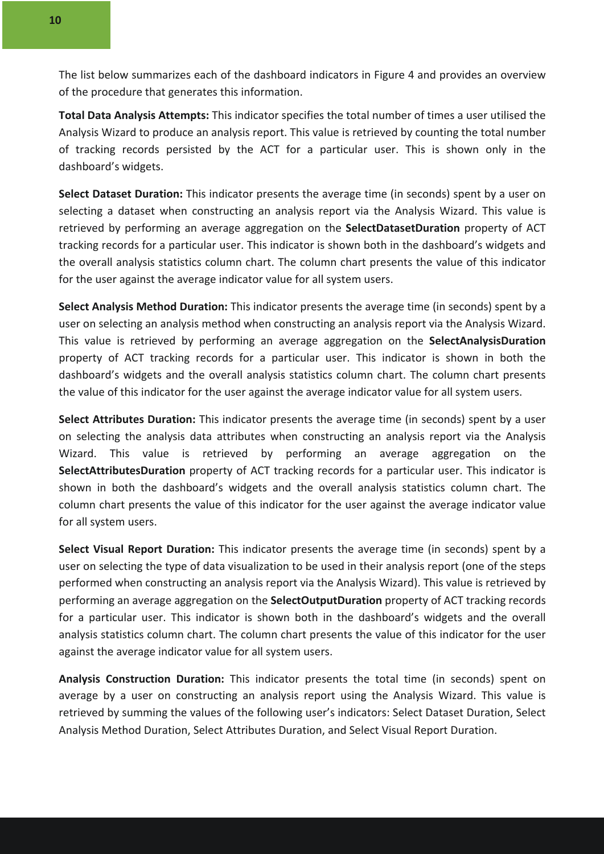The list below summarizes each of the dashboard indicators in Figure 4 and provides an overview of the procedure that generates this information.

**Total Data Analysis Attempts:** This indicator specifies the total number of times a user utilised the Analysis Wizard to produce an analysis report. This value is retrieved by counting the total number of tracking records persisted by the ACT for a particular user. This is shown only in the dashboard's widgets.

**Select Dataset Duration:** This indicator presents the average time (in seconds) spent by a user on selecting a dataset when constructing an analysis report via the Analysis Wizard. This value is retrieved by performing an average aggregation on the **SelectDatasetDuration** property of ACT tracking records for a particular user. This indicator is shown both in the dashboard's widgets and the overall analysis statistics column chart. The column chart presents the value of this indicator for the user against the average indicator value for all system users.

**Select Analysis Method Duration:** This indicator presents the average time (in seconds) spent by a user on selecting an analysis method when constructing an analysis report via the Analysis Wizard. This value is retrieved by performing an average aggregation on the **SelectAnalysisDuration** property of ACT tracking records for a particular user. This indicator is shown in both the dashboard's widgets and the overall analysis statistics column chart. The column chart presents the value of this indicator for the user against the average indicator value for all system users.

**Select Attributes Duration:** This indicator presents the average time (in seconds) spent by a user on selecting the analysis data attributes when constructing an analysis report via the Analysis Wizard. This value is retrieved by performing an average aggregation on the **SelectAttributesDuration** property of ACT tracking records for a particular user. This indicator is shown in both the dashboard's widgets and the overall analysis statistics column chart. The column chart presents the value of this indicator for the user against the average indicator value for all system users.

**Select Visual Report Duration:** This indicator presents the average time (in seconds) spent by a user on selecting the type of data visualization to be used in their analysis report (one of the steps performed when constructing an analysis report via the Analysis Wizard). This value is retrieved by performing an average aggregation on the **SelectOutputDuration** property of ACT tracking records for a particular user. This indicator is shown both in the dashboard's widgets and the overall analysis statistics column chart. The column chart presents the value of this indicator for the user against the average indicator value for all system users.

**Analysis Construction Duration:** This indicator presents the total time (in seconds) spent on average by a user on constructing an analysis report using the Analysis Wizard. This value is retrieved by summing the values of the following user's indicators: Select Dataset Duration, Select Analysis Method Duration, Select Attributes Duration, and Select Visual Report Duration.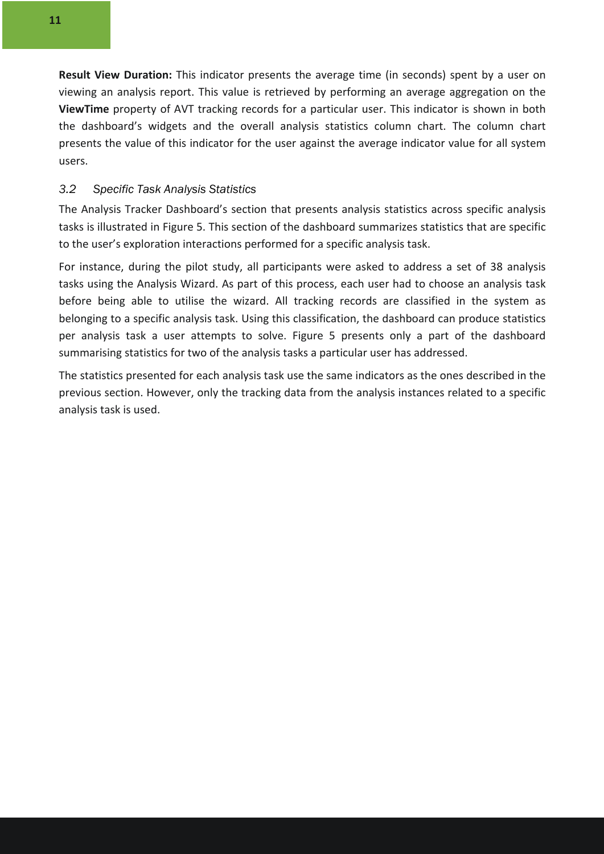**Result View Duration:** This indicator presents the average time (in seconds) spent by a user on viewing an analysis report. This value is retrieved by performing an average aggregation on the **ViewTime** property of AVT tracking records for a particular user. This indicator is shown in both the dashboard's widgets and the overall analysis statistics column chart. The column chart presents the value of this indicator for the user against the average indicator value for all system users.

#### *3.2 Specific Task Analysis Statistics*

The Analysis Tracker Dashboard's section that presents analysis statistics across specific analysis tasks is illustrated in Figure 5. This section of the dashboard summarizes statistics that are specific to the user's exploration interactions performed for a specific analysis task.

For instance, during the pilot study, all participants were asked to address a set of 38 analysis tasks using the Analysis Wizard. As part of this process, each user had to choose an analysis task before being able to utilise the wizard. All tracking records are classified in the system as belonging to a specific analysis task. Using this classification, the dashboard can produce statistics per analysis task a user attempts to solve. Figure 5 presents only a part of the dashboard summarising statistics for two of the analysis tasks a particular user has addressed.

The statistics presented for each analysis task use the same indicators as the ones described in the previous section. However, only the tracking data from the analysis instances related to a specific analysis task is used.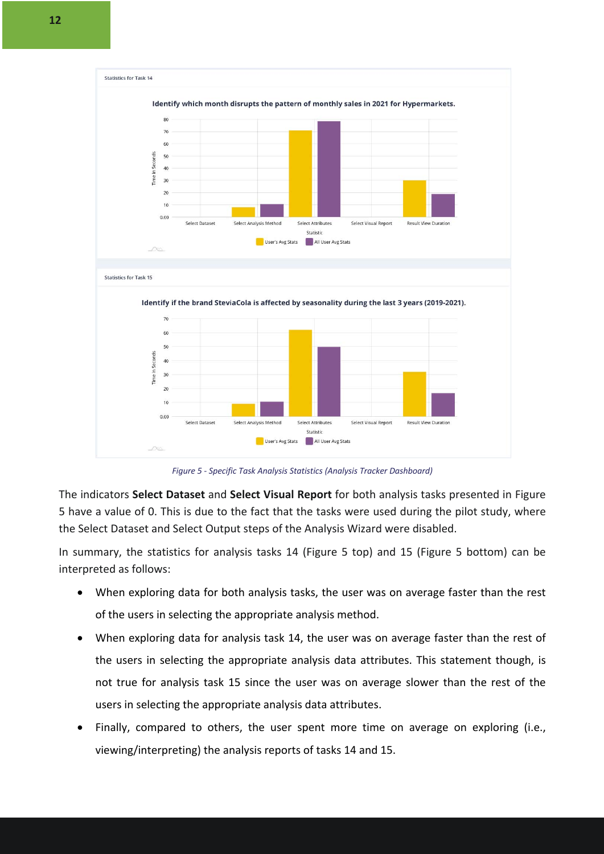

*Figure 5 - Specific Task Analysis Statistics (Analysis Tracker Dashboard)*

The indicators **Select Dataset** and **Select Visual Report** for both analysis tasks presented in Figure 5 have a value of 0. This is due to the fact that the tasks were used during the pilot study, where the Select Dataset and Select Output steps of the Analysis Wizard were disabled.

In summary, the statistics for analysis tasks 14 (Figure 5 top) and 15 (Figure 5 bottom) can be interpreted as follows:

- When exploring data for both analysis tasks, the user was on average faster than the rest of the users in selecting the appropriate analysis method.
- When exploring data for analysis task 14, the user was on average faster than the rest of the users in selecting the appropriate analysis data attributes. This statement though, is not true for analysis task 15 since the user was on average slower than the rest of the users in selecting the appropriate analysis data attributes.
- Finally, compared to others, the user spent more time on average on exploring (i.e., viewing/interpreting) the analysis reports of tasks 14 and 15.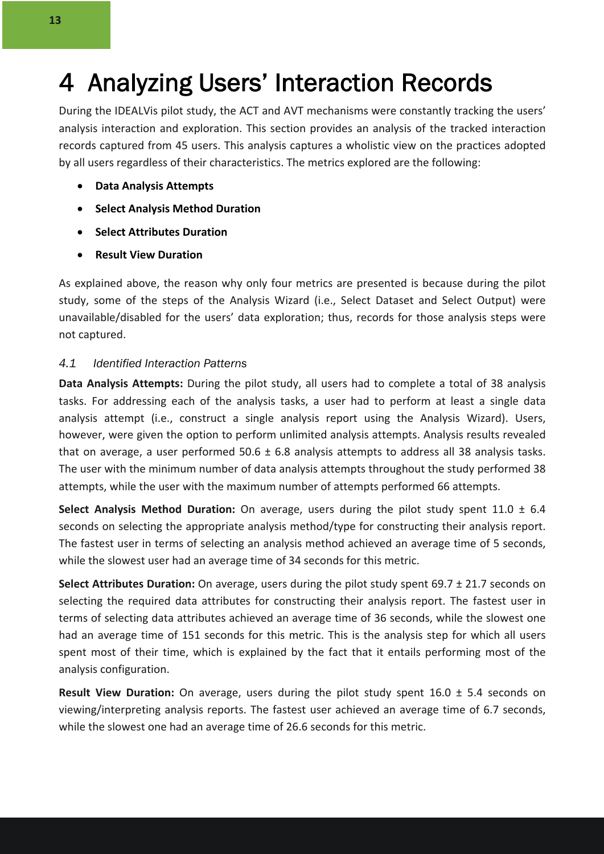### 4 Analyzing Users' Interaction Records

During the IDEALVis pilot study, the ACT and AVT mechanisms were constantly tracking the users' analysis interaction and exploration. This section provides an analysis of the tracked interaction records captured from 45 users. This analysis captures a wholistic view on the practices adopted by all users regardless of their characteristics. The metrics explored are the following:

- **Data Analysis Attempts**
- **Select Analysis Method Duration**
- **Select Attributes Duration**
- **Result View Duration**

As explained above, the reason why only four metrics are presented is because during the pilot study, some of the steps of the Analysis Wizard (i.e., Select Dataset and Select Output) were unavailable/disabled for the users' data exploration; thus, records for those analysis steps were not captured.

#### *4.1 Identified Interaction Patterns*

**Data Analysis Attempts:** During the pilot study, all users had to complete a total of 38 analysis tasks. For addressing each of the analysis tasks, a user had to perform at least a single data analysis attempt (i.e., construct a single analysis report using the Analysis Wizard). Users, however, were given the option to perform unlimited analysis attempts. Analysis results revealed that on average, a user performed  $50.6 \pm 6.8$  analysis attempts to address all 38 analysis tasks. The user with the minimum number of data analysis attempts throughout the study performed 38 attempts, while the user with the maximum number of attempts performed 66 attempts.

**Select Analysis Method Duration:** On average, users during the pilot study spent 11.0 ± 6.4 seconds on selecting the appropriate analysis method/type for constructing their analysis report. The fastest user in terms of selecting an analysis method achieved an average time of 5 seconds, while the slowest user had an average time of 34 seconds for this metric.

**Select Attributes Duration:** On average, users during the pilot study spent 69.7 ± 21.7 seconds on selecting the required data attributes for constructing their analysis report. The fastest user in terms of selecting data attributes achieved an average time of 36 seconds, while the slowest one had an average time of 151 seconds for this metric. This is the analysis step for which all users spent most of their time, which is explained by the fact that it entails performing most of the analysis configuration.

**Result View Duration:** On average, users during the pilot study spent 16.0 ± 5.4 seconds on viewing/interpreting analysis reports. The fastest user achieved an average time of 6.7 seconds, while the slowest one had an average time of 26.6 seconds for this metric.